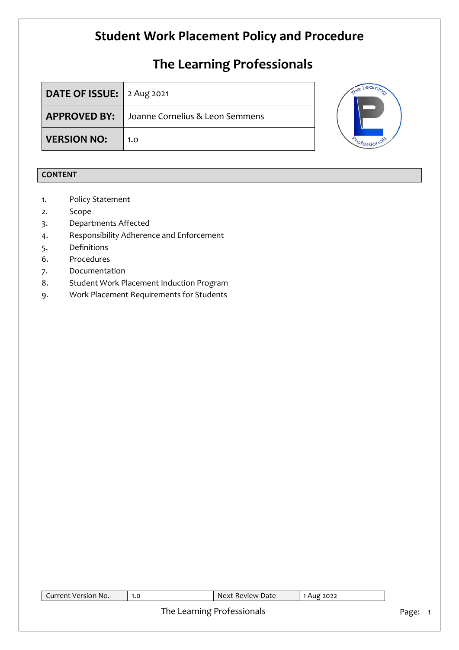# **The Learning Professionals**

| <b>DATE OF ISSUE:</b> $\vert$ 2 Aug 2021 |                                  |  |
|------------------------------------------|----------------------------------|--|
| <b>APPROVED BY:</b>                      | LJoanne Cornelius & Leon Semmens |  |
| <b>VERSION NO:</b>                       | 1.0                              |  |



### **CONTENT**

- 1. Policy Statement
- 2. Scope
- 3. Departments Affected
- 4. Responsibility Adherence and Enforcement
- 5. Definitions
- 6. Procedures
- 7. Documentation
- 8. Student Work Placement Induction Program
- 9. Work Placement Requirements for Students

| Current Version No. | 1.0 | Next Review Date           | 1 Aug 2022 |       |
|---------------------|-----|----------------------------|------------|-------|
|                     |     | The Learning Professionals |            | Page: |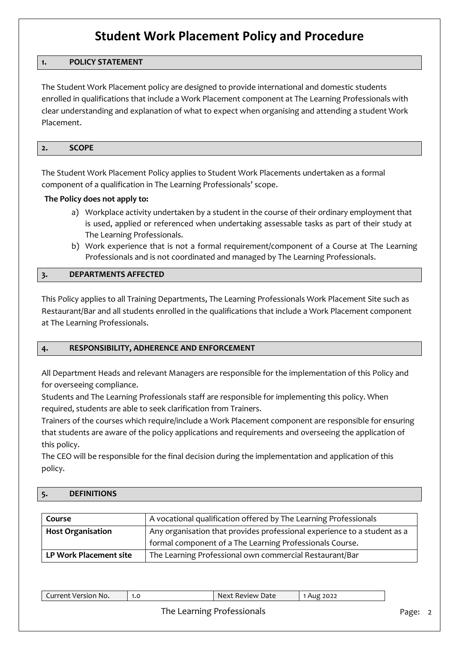### **1. POLICY STATEMENT**

The Student Work Placement policy are designed to provide international and domestic students enrolled in qualifications that include a Work Placement component at The Learning Professionals with clear understanding and explanation of what to expect when organising and attending a student Work Placement.

#### **2. SCOPE**

The Student Work Placement Policy applies to Student Work Placements undertaken as a formal component of a qualification in The Learning Professionals' scope.

#### **The Policy does not apply to:**

- a) Workplace activity undertaken by a student in the course of their ordinary employment that is used, applied or referenced when undertaking assessable tasks as part of their study at The Learning Professionals.
- b) Work experience that is not a formal requirement/component of a Course at The Learning Professionals and is not coordinated and managed by The Learning Professionals.

#### **3. DEPARTMENTS AFFECTED**

This Policy applies to all Training Departments, The Learning Professionals Work Placement Site such as Restaurant/Bar and all students enrolled in the qualifications that include a Work Placement component at The Learning Professionals.

#### **4. RESPONSIBILITY, ADHERENCE AND ENFORCEMENT**

All Department Heads and relevant Managers are responsible for the implementation of this Policy and for overseeing compliance.

Students and The Learning Professionals staff are responsible for implementing this policy. When required, students are able to seek clarification from Trainers.

Trainers of the courses which require/include a Work Placement component are responsible for ensuring that students are aware of the policy applications and requirements and overseeing the application of this policy.

The CEO will be responsible for the final decision during the implementation and application of this policy.

#### **5. DEFINITIONS**

| Course                   | A vocational qualification offered by The Learning Professionals         |
|--------------------------|--------------------------------------------------------------------------|
| <b>Host Organisation</b> | Any organisation that provides professional experience to a student as a |
|                          | formal component of a The Learning Professionals Course.                 |
| LP Work Placement site   | The Learning Professional own commercial Restaurant/Bar                  |

| .<br>--------<br>NO.<br>רו⊃'<br>ver<br>. | 1.0 | Date<br>RAVIAW<br>$\ddot{\phantom{1}}$ | 022 |
|------------------------------------------|-----|----------------------------------------|-----|
|                                          |     |                                        |     |

### The Learning Professionals **Page: 2** Page: 2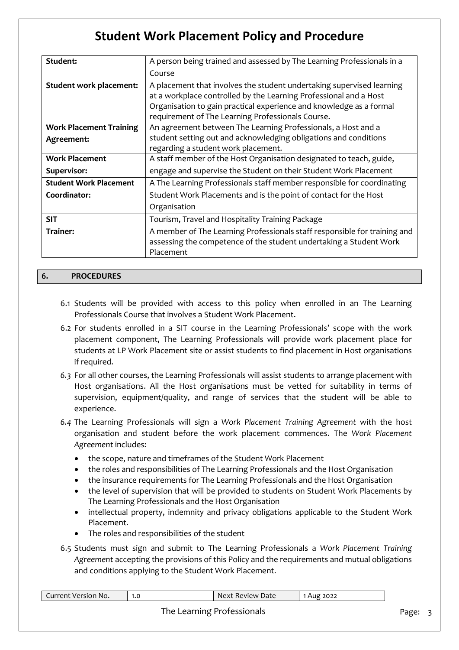| Student:                       | A person being trained and assessed by The Learning Professionals in a    |
|--------------------------------|---------------------------------------------------------------------------|
|                                | Course                                                                    |
| Student work placement:        | A placement that involves the student undertaking supervised learning     |
|                                | at a workplace controlled by the Learning Professional and a Host         |
|                                | Organisation to gain practical experience and knowledge as a formal       |
|                                | requirement of The Learning Professionals Course.                         |
| <b>Work Placement Training</b> | An agreement between The Learning Professionals, a Host and a             |
| Agreement:                     | student setting out and acknowledging obligations and conditions          |
|                                | regarding a student work placement.                                       |
| <b>Work Placement</b>          | A staff member of the Host Organisation designated to teach, guide,       |
| Supervisor:                    | engage and supervise the Student on their Student Work Placement          |
| <b>Student Work Placement</b>  | A The Learning Professionals staff member responsible for coordinating    |
| Coordinator:                   | Student Work Placements and is the point of contact for the Host          |
|                                | Organisation                                                              |
| <b>SIT</b>                     | Tourism, Travel and Hospitality Training Package                          |
| Trainer:                       | A member of The Learning Professionals staff responsible for training and |
|                                | assessing the competence of the student undertaking a Student Work        |
|                                | Placement                                                                 |

#### **6. PROCEDURES**

- 6.1 Students will be provided with access to this policy when enrolled in an The Learning Professionals Course that involves a Student Work Placement.
- 6.2 For students enrolled in a SIT course in the Learning Professionals' scope with the work placement component, The Learning Professionals will provide work placement place for students at LP Work Placement site or assist students to find placement in Host organisations if required.
- *6.3* For all other courses, the Learning Professionals will assist students to arrange placement with Host organisations. All the Host organisations must be vetted for suitability in terms of supervision, equipment/quality, and range of services that the student will be able to experience.
- *6.4* The Learning Professionals will sign a *Work Placement Training Agreement* with the host organisation and student before the work placement commences. The *Work Placement Agreement* includes:
	- the scope, nature and timeframes of the Student Work Placement
	- the roles and responsibilities of The Learning Professionals and the Host Organisation
	- the insurance requirements for The Learning Professionals and the Host Organisation
	- the level of supervision that will be provided to students on Student Work Placements by The Learning Professionals and the Host Organisation
	- intellectual property, indemnity and privacy obligations applicable to the Student Work Placement.
	- The roles and responsibilities of the student
- 6.5 Students must sign and submit to The Learning Professionals a *Work Placement Training Agreement* accepting the provisions of this Policy and the requirements and mutual obligations and conditions applying to the Student Work Placement.

| Current Version No. | 1.0 | Next Review Date           | Aug 2022 |       |  |
|---------------------|-----|----------------------------|----------|-------|--|
|                     |     | The Learning Professionals |          | Page: |  |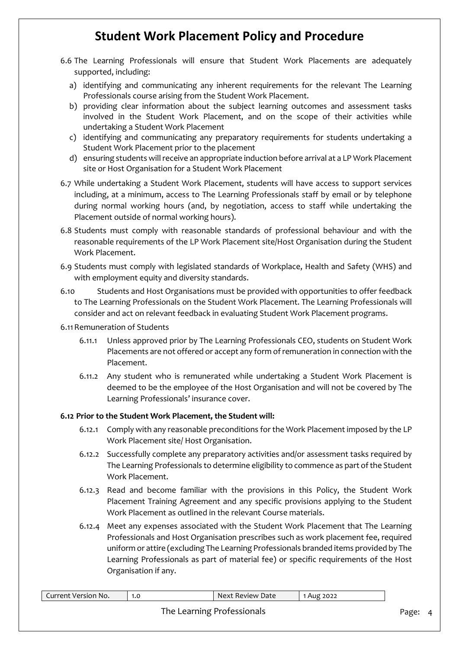- 6.6 The Learning Professionals will ensure that Student Work Placements are adequately supported, including:
	- a) identifying and communicating any inherent requirements for the relevant The Learning Professionals course arising from the Student Work Placement.
	- b) providing clear information about the subject learning outcomes and assessment tasks involved in the Student Work Placement, and on the scope of their activities while undertaking a Student Work Placement
	- c) identifying and communicating any preparatory requirements for students undertaking a Student Work Placement prior to the placement
	- d) ensuring students will receive an appropriate induction before arrival at a LP Work Placement site or Host Organisation for a Student Work Placement
- 6.7 While undertaking a Student Work Placement, students will have access to support services including, at a minimum, access to The Learning Professionals staff by email or by telephone during normal working hours (and, by negotiation, access to staff while undertaking the Placement outside of normal working hours).
- 6.8 Students must comply with reasonable standards of professional behaviour and with the reasonable requirements of the LP Work Placement site/Host Organisation during the Student Work Placement.
- 6.9 Students must comply with legislated standards of Workplace, Health and Safety (WHS) and with employment equity and diversity standards.
- 6.10 Students and Host Organisations must be provided with opportunities to offer feedback to The Learning Professionals on the Student Work Placement. The Learning Professionals will consider and act on relevant feedback in evaluating Student Work Placement programs.

#### 6.11Remuneration of Students

- 6.11.1 Unless approved prior by The Learning Professionals CEO, students on Student Work Placements are not offered or accept any form of remuneration in connection with the Placement.
- 6.11.2 Any student who is remunerated while undertaking a Student Work Placement is deemed to be the employee of the Host Organisation and will not be covered by The Learning Professionals' insurance cover.

### **6.12 Prior to the Student Work Placement, the Student will:**

- 6.12.1 Comply with any reasonable preconditions for the Work Placement imposed by the LP Work Placement site/ Host Organisation.
- 6.12.2 Successfully complete any preparatory activities and/or assessment tasks required by The Learning Professionals to determine eligibility to commence as part of the Student Work Placement.
- 6.12.3 Read and become familiar with the provisions in this Policy, the Student Work Placement Training Agreement and any specific provisions applying to the Student Work Placement as outlined in the relevant Course materials.
- 6.12.4 Meet any expenses associated with the Student Work Placement that The Learning Professionals and Host Organisation prescribes such as work placement fee, required uniform or attire (excluding The Learning Professionals branded items provided by The Learning Professionals as part of material fee) or specific requirements of the Host Organisation if any.

| Current Version No. | 1.0 | Next Review Date           | 1 Aug 2022 |       |
|---------------------|-----|----------------------------|------------|-------|
|                     |     | The Learning Professionals |            | Page: |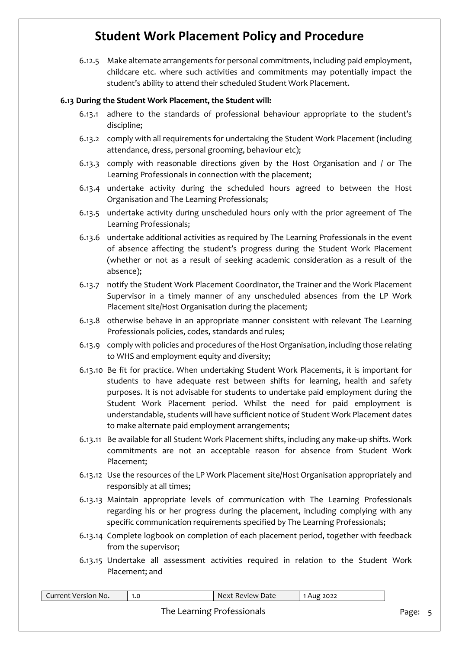6.12.5 Make alternate arrangements for personal commitments, including paid employment, childcare etc. where such activities and commitments may potentially impact the student's ability to attend their scheduled Student Work Placement.

#### **6.13 During the Student Work Placement, the Student will:**

- 6.13.1 adhere to the standards of professional behaviour appropriate to the student's discipline;
- 6.13.2 comply with all requirements for undertaking the Student Work Placement (including attendance, dress, personal grooming, behaviour etc);
- 6.13.3 comply with reasonable directions given by the Host Organisation and / or The Learning Professionals in connection with the placement;
- 6.13.4 undertake activity during the scheduled hours agreed to between the Host Organisation and The Learning Professionals;
- 6.13.5 undertake activity during unscheduled hours only with the prior agreement of The Learning Professionals;
- 6.13.6 undertake additional activities as required by The Learning Professionals in the event of absence affecting the student's progress during the Student Work Placement (whether or not as a result of seeking academic consideration as a result of the absence);
- 6.13.7 notify the Student Work Placement Coordinator, the Trainer and the Work Placement Supervisor in a timely manner of any unscheduled absences from the LP Work Placement site/Host Organisation during the placement;
- 6.13.8 otherwise behave in an appropriate manner consistent with relevant The Learning Professionals policies, codes, standards and rules;
- 6.13.9 comply with policies and procedures of the Host Organisation, including those relating to WHS and employment equity and diversity;
- 6.13.10 Be fit for practice. When undertaking Student Work Placements, it is important for students to have adequate rest between shifts for learning, health and safety purposes. It is not advisable for students to undertake paid employment during the Student Work Placement period. Whilst the need for paid employment is understandable, students will have sufficient notice of Student Work Placement dates to make alternate paid employment arrangements;
- 6.13.11 Be available for all Student Work Placement shifts, including any make-up shifts. Work commitments are not an acceptable reason for absence from Student Work Placement;
- 6.13.12 Use the resources of the LP Work Placement site/Host Organisation appropriately and responsibly at all times;
- 6.13.13 Maintain appropriate levels of communication with The Learning Professionals regarding his or her progress during the placement, including complying with any specific communication requirements specified by The Learning Professionals;
- 6.13.14 Complete logbook on completion of each placement period, together with feedback from the supervisor;
- 6.13.15 Undertake all assessment activities required in relation to the Student Work Placement; and

| Current Version No. | 1.0 | Next Review Date           | Aug 2022 |       |  |
|---------------------|-----|----------------------------|----------|-------|--|
|                     |     | The Learning Professionals |          | Page: |  |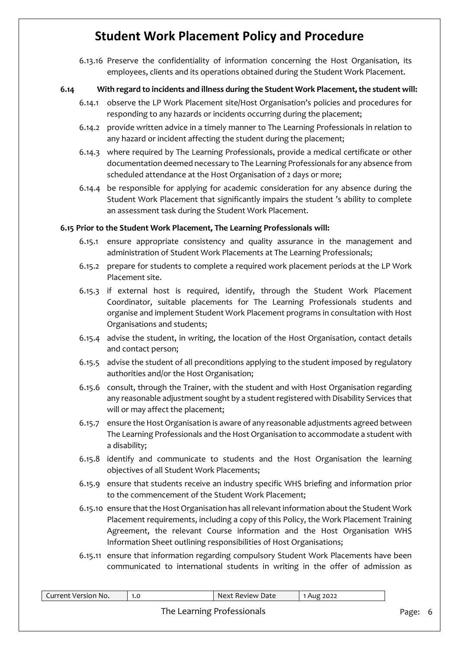6.13.16 Preserve the confidentiality of information concerning the Host Organisation, its employees, clients and its operations obtained during the Student Work Placement.

### **6.14 With regard to incidents and illness during the Student Work Placement, the student will:**

- 6.14.1 observe the LP Work Placement site/Host Organisation's policies and procedures for responding to any hazards or incidents occurring during the placement;
- 6.14.2 provide written advice in a timely manner to The Learning Professionals in relation to any hazard or incident affecting the student during the placement;
- 6.14.3 where required by The Learning Professionals, provide a medical certificate or other documentation deemed necessary to The Learning Professionals for any absence from scheduled attendance at the Host Organisation of 2 days or more;
- 6.14.4 be responsible for applying for academic consideration for any absence during the Student Work Placement that significantly impairs the student 's ability to complete an assessment task during the Student Work Placement.

### **6.15 Prior to the Student Work Placement, The Learning Professionals will:**

- 6.15.1 ensure appropriate consistency and quality assurance in the management and administration of Student Work Placements at The Learning Professionals;
- 6.15.2 prepare for students to complete a required work placement periods at the LP Work Placement site.
- 6.15.3 if external host is required, identify, through the Student Work Placement Coordinator, suitable placements for The Learning Professionals students and organise and implement Student Work Placement programs in consultation with Host Organisations and students;
- 6.15.4 advise the student, in writing, the location of the Host Organisation, contact details and contact person;
- 6.15.5 advise the student of all preconditions applying to the student imposed by regulatory authorities and/or the Host Organisation;
- 6.15.6 consult, through the Trainer, with the student and with Host Organisation regarding any reasonable adjustment sought by a student registered with Disability Services that will or may affect the placement;
- 6.15.7 ensure the Host Organisation is aware of any reasonable adjustments agreed between The Learning Professionals and the Host Organisation to accommodate a student with a disability;
- 6.15.8 identify and communicate to students and the Host Organisation the learning objectives of all Student Work Placements;
- 6.15.9 ensure that students receive an industry specific WHS briefing and information prior to the commencement of the Student Work Placement;
- 6.15.10 ensure that the Host Organisation has all relevant information about the Student Work Placement requirements, including a copy of this Policy, the Work Placement Training Agreement, the relevant Course information and the Host Organisation WHS Information Sheet outlining responsibilities of Host Organisations;
- 6.15.11 ensure that information regarding compulsory Student Work Placements have been communicated to international students in writing in the offer of admission as

| Current Version No. | 1.0 | Next Review Date           | 1 Aug 2022 |         |  |
|---------------------|-----|----------------------------|------------|---------|--|
|                     |     | The Learning Professionals |            | Page: 6 |  |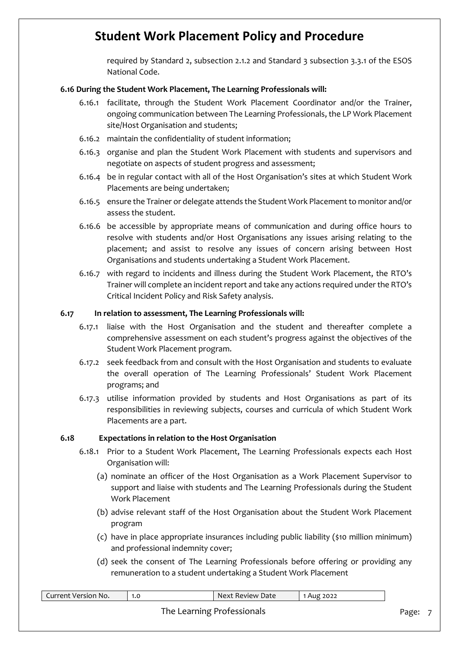required by Standard 2, subsection 2.1.2 and Standard 3 subsection 3.3.1 of the ESOS National Code.

#### **6.16 During the Student Work Placement, The Learning Professionals will:**

- 6.16.1 facilitate, through the Student Work Placement Coordinator and/or the Trainer, ongoing communication between The Learning Professionals, the LP Work Placement site/Host Organisation and students;
- 6.16.2 maintain the confidentiality of student information;
- 6.16.3 organise and plan the Student Work Placement with students and supervisors and negotiate on aspects of student progress and assessment;
- 6.16.4 be in regular contact with all of the Host Organisation's sites at which Student Work Placements are being undertaken;
- 6.16.5 ensure the Trainer or delegate attends the Student Work Placement to monitor and/or assess the student.
- 6.16.6 be accessible by appropriate means of communication and during office hours to resolve with students and/or Host Organisations any issues arising relating to the placement; and assist to resolve any issues of concern arising between Host Organisations and students undertaking a Student Work Placement.
- 6.16.7 with regard to incidents and illness during the Student Work Placement, the RTO's Trainer will complete an incident report and take any actions required under the RTO's Critical Incident Policy and Risk Safety analysis.

#### **6.17 In relation to assessment, The Learning Professionals will:**

- 6.17.1 liaise with the Host Organisation and the student and thereafter complete a comprehensive assessment on each student's progress against the objectives of the Student Work Placement program.
- 6.17.2 seek feedback from and consult with the Host Organisation and students to evaluate the overall operation of The Learning Professionals' Student Work Placement programs; and
- 6.17.3 utilise information provided by students and Host Organisations as part of its responsibilities in reviewing subjects, courses and curricula of which Student Work Placements are a part.

#### **6.18 Expectations in relation to the Host Organisation**

- 6.18.1 Prior to a Student Work Placement, The Learning Professionals expects each Host Organisation will:
	- (a) nominate an officer of the Host Organisation as a Work Placement Supervisor to support and liaise with students and The Learning Professionals during the Student Work Placement
	- (b) advise relevant staff of the Host Organisation about the Student Work Placement program
	- (c) have in place appropriate insurances including public liability (\$10 million minimum) and professional indemnity cover;
	- (d) seek the consent of The Learning Professionals before offering or providing any remuneration to a student undertaking a Student Work Placement

| Current Version No. | 1.0 | Next Review Date           | 1 Aug 2022 |       |  |
|---------------------|-----|----------------------------|------------|-------|--|
|                     |     | The Learning Professionals |            | Page: |  |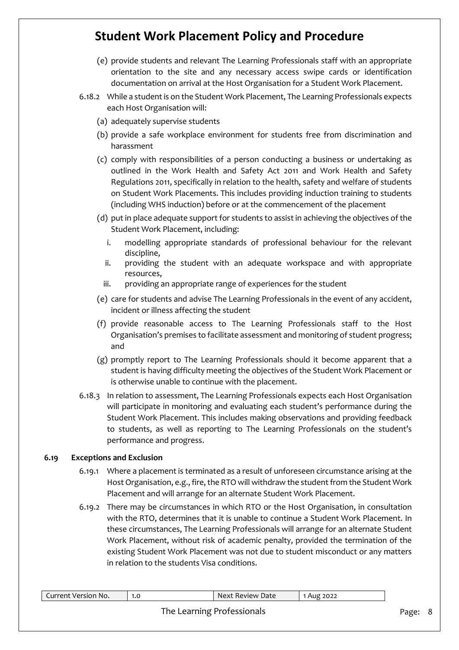- (e) provide students and relevant The Learning Professionals staff with an appropriate orientation to the site and any necessary access swipe cards or identification documentation on arrival at the Host Organisation for a Student Work Placement.
- 6.18.2 While a student is on the Student Work Placement, The Learning Professionals expects each Host Organisation will:
	- (a) adequately supervise students
	- (b) provide a safe workplace environment for students free from discrimination and harassment
	- (c) comply with responsibilities of a person conducting a business or undertaking as outlined in the Work Health and Safety Act 2011 and Work Health and Safety Regulations 2011, specifically in relation to the health, safety and welfare of students on Student Work Placements. This includes providing induction training to students (including WHS induction) before or at the commencement of the placement
	- (d) put in place adequate support for students to assist in achieving the objectives of the Student Work Placement, including:
		- i. modelling appropriate standards of professional behaviour for the relevant discipline,
		- ii. providing the student with an adequate workspace and with appropriate resources,
		- iii. providing an appropriate range of experiences for the student
	- (e) care for students and advise The Learning Professionals in the event of any accident, incident or illness affecting the student
	- (f) provide reasonable access to The Learning Professionals staff to the Host Organisation's premises to facilitate assessment and monitoring of student progress; and
	- (g) promptly report to The Learning Professionals should it become apparent that a student is having difficulty meeting the objectives of the Student Work Placement or is otherwise unable to continue with the placement.
- 6.18.3 In relation to assessment, The Learning Professionals expects each Host Organisation will participate in monitoring and evaluating each student's performance during the Student Work Placement. This includes making observations and providing feedback to students, as well as reporting to The Learning Professionals on the student's performance and progress.

#### **6.19 Exceptions and Exclusion**

- 6.19.1 Where a placement is terminated as a result of unforeseen circumstance arising at the Host Organisation, e.g., fire, the RTO will withdraw the student from the Student Work Placement and will arrange for an alternate Student Work Placement.
- 6.19.2 There may be circumstances in which RTO or the Host Organisation, in consultation with the RTO, determines that it is unable to continue a Student Work Placement. In these circumstances, The Learning Professionals will arrange for an alternate Student Work Placement, without risk of academic penalty, provided the termination of the existing Student Work Placement was not due to student misconduct or any matters in relation to the students Visa conditions.

| Current Version No. | 1.0 | Next Review Date           | 1 Aug 2022 |       |     |
|---------------------|-----|----------------------------|------------|-------|-----|
|                     |     | The Learning Professionals |            | Page: | - 8 |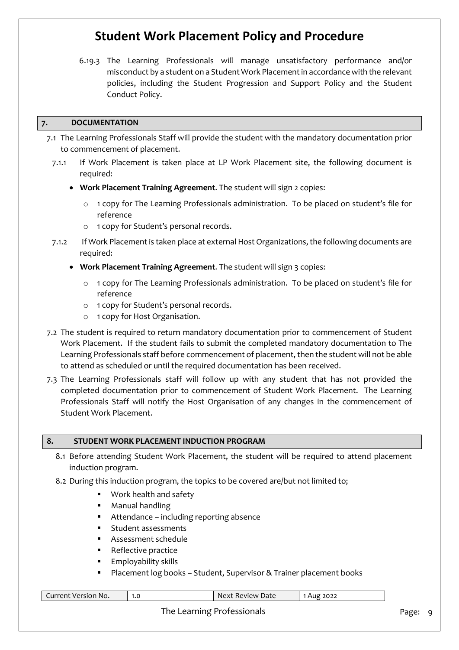6.19.3 The Learning Professionals will manage unsatisfactory performance and/or misconduct by a student on a Student Work Placement in accordance with the relevant policies, including the Student Progression and Support Policy and the Student Conduct Policy.

### **7. DOCUMENTATION**

- 7.1 The Learning Professionals Staff will provide the student with the mandatory documentation prior to commencement of placement.
	- 7.1.1 If Work Placement is taken place at LP Work Placement site, the following document is required:
		- **Work Placement Training Agreement**. The student will sign 2 copies:
			- o 1 copy for The Learning Professionals administration. To be placed on student's file for reference
			- o 1 copy for Student's personal records.
	- 7.1.2 If Work Placement is taken place at external Host Organizations, the following documents are required:
		- **Work Placement Training Agreement**. The student will sign 3 copies:
			- o 1 copy for The Learning Professionals administration. To be placed on student's file for reference
			- o 1 copy for Student's personal records.
			- o 1 copy for Host Organisation.
- 7.2 The student is required to return mandatory documentation prior to commencement of Student Work Placement. If the student fails to submit the completed mandatory documentation to The Learning Professionals staff before commencement of placement, then the student will not be able to attend as scheduled or until the required documentation has been received.
- 7.3 The Learning Professionals staff will follow up with any student that has not provided the completed documentation prior to commencement of Student Work Placement. The Learning Professionals Staff will notify the Host Organisation of any changes in the commencement of Student Work Placement.

#### **8. STUDENT WORK PLACEMENT INDUCTION PROGRAM**

- 8.1 Before attending Student Work Placement, the student will be required to attend placement induction program.
- 8.2 During this induction program, the topics to be covered are/but not limited to;
	- **Work health and safety**
	- **•** Manual handling
	- Attendance including reporting absence
	- **Student assessments**
	- Assessment schedule
	- Reflective practice
	- Employability skills
	- Placement log books Student, Supervisor & Trainer placement books

| Current Version No. | 1.0 | Next Review Date | Aug 2022 |
|---------------------|-----|------------------|----------|
|                     |     |                  |          |
|                     |     |                  |          |

The Learning Professionals and a state of the Page: 9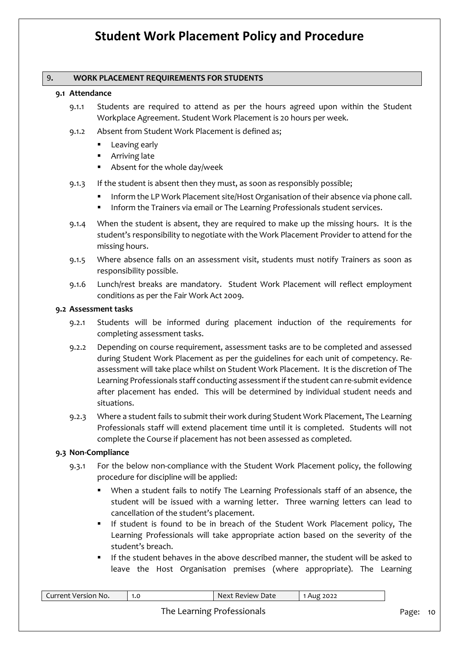#### 9**. WORK PLACEMENT REQUIREMENTS FOR STUDENTS**

#### **9.1 Attendance**

- 9.1.1 Students are required to attend as per the hours agreed upon within the Student Workplace Agreement. Student Work Placement is 20 hours per week.
- 9.1.2 Absent from Student Work Placement is defined as;
	- **Leaving early**
	- Arriving late
	- Absent for the whole day/week
- 9.1.3 If the student is absent then they must, as soon as responsibly possible;
	- Inform the LP Work Placement site/Host Organisation of their absence via phone call.
	- Inform the Trainers via email or The Learning Professionals student services.
- 9.1.4 When the student is absent, they are required to make up the missing hours. It is the student's responsibility to negotiate with the Work Placement Provider to attend for the missing hours.
- 9.1.5 Where absence falls on an assessment visit, students must notify Trainers as soon as responsibility possible.
- 9.1.6 Lunch/rest breaks are mandatory. Student Work Placement will reflect employment conditions as per the Fair Work Act 2009.

#### **9.2 Assessment tasks**

- 9.2.1 Students will be informed during placement induction of the requirements for completing assessment tasks.
- 9.2.2 Depending on course requirement, assessment tasks are to be completed and assessed during Student Work Placement as per the guidelines for each unit of competency. Reassessment will take place whilst on Student Work Placement. It is the discretion of The Learning Professionals staff conducting assessment if the student can re-submit evidence after placement has ended. This will be determined by individual student needs and situations.
- 9.2.3 Where a student fails to submit their work during Student Work Placement, The Learning Professionals staff will extend placement time until it is completed. Students will not complete the Course if placement has not been assessed as completed.

#### **9.3 Non-Compliance**

- 9.3.1 For the below non-compliance with the Student Work Placement policy, the following procedure for discipline will be applied:
	- When a student fails to notify The Learning Professionals staff of an absence, the student will be issued with a warning letter. Three warning letters can lead to cancellation of the student's placement.
	- If student is found to be in breach of the Student Work Placement policy, The Learning Professionals will take appropriate action based on the severity of the student's breach.
	- If the student behaves in the above described manner, the student will be asked to leave the Host Organisation premises (where appropriate). The Learning

| Current Version No. | 1.0 | Next Review Date           | Aug 2022 |          |  |
|---------------------|-----|----------------------------|----------|----------|--|
|                     |     | The Learning Professionals |          | Page: 10 |  |